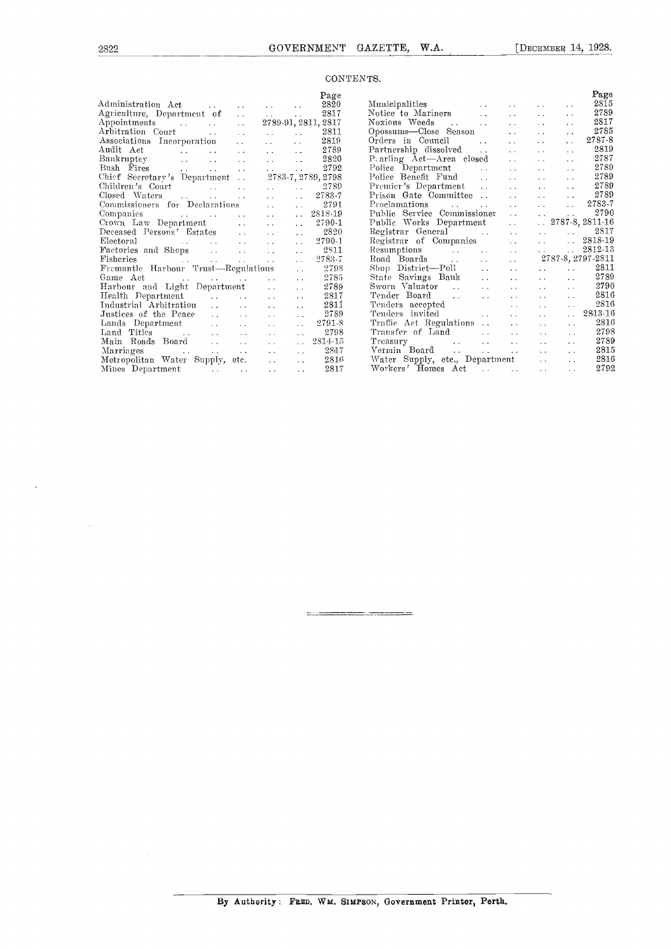## CONTENTS.

|                                                                                                       |                           |                                 |                      | Page                |
|-------------------------------------------------------------------------------------------------------|---------------------------|---------------------------------|----------------------|---------------------|
| Administration Act                                                                                    | $\ddot{\phantom{0}}$      | <b>Allen Control</b>            | $\ddot{\phantom{0}}$ | 2820                |
| Agriculture, Department of                                                                            | $\ddot{\phantom{a}}$      | <b>Alan Andrew</b>              |                      | 2817                |
|                                                                                                       | $\ddot{\phantom{a}}$      |                                 |                      | 2789-91, 2811, 2817 |
| Arbitration Court<br>$\sim 10^{11}$ km s $^{-1}$                                                      | $\ddot{\phantom{a}}$      |                                 | and the same         | - 2811              |
| Associations Incorporation                                                                            |                           | <b>Contract Contract</b>        | $\mathbf{r}$         | 2819                |
| Audit Act<br>$\mathcal{L}_{\text{max}}$ and $\mathcal{L}_{\text{max}}$ and $\mathcal{L}_{\text{max}}$ | i.                        | $\mathbf{r}$ , and $\mathbf{r}$ | $\ddot{\phantom{0}}$ | 2789                |
| Bankruptcy                                                                                            | $\ddotsc$                 |                                 | and the state of     | 2820                |
| Bush Fires                                                                                            | $\ddot{\phantom{a}}$      |                                 |                      | 2792                |
| Chief Secretary's Department                                                                          | $\ddot{\phantom{a}}$      |                                 |                      | 2783-7, 2789, 2798  |
|                                                                                                       |                           | and the con-                    | and the con-         | 2789                |
|                                                                                                       |                           | $\ddot{\phantom{a}}$            | $\ddot{\phantom{0}}$ | 2783-7              |
| Commissioners for Declarations                                                                        |                           | $\ddot{\phantom{0}}$            | $\ddot{\phantom{a}}$ | 2791                |
| Companies<br>and a series of the control of                                                           |                           | $\sim 10^{-11}$                 | $\ddot{\phantom{a}}$ | 2818-19             |
| Crown Law Department                                                                                  | $\ddot{\phantom{a}}$      | <b>CALL COV</b>                 | $\ddot{\phantom{a}}$ | 2790-1              |
| Deceased Persons' Estates                                                                             | $\sim$ $\sim$             | $\sim 10^{-1}$                  | $\ddot{\phantom{a}}$ | 2820                |
| Electoral                                                                                             | $\ddot{\phantom{0}}$      | $\ddot{\phantom{0}}$            | $\ddot{\phantom{0}}$ | 2790-1              |
| Factories and Shops                                                                                   | and the con-              | $\ddot{\phantom{a}}$            | $\ddot{\phantom{a}}$ | 2811                |
|                                                                                                       | $\ddotsc$                 | $\ddot{\phantom{a}}$            | $\ddot{\phantom{0}}$ | 2783-7              |
| Fremantle Harbour Trust—Regulations                                                                   |                           |                                 | $\ddot{\phantom{0}}$ | 2798                |
| Game Act                                                                                              |                           | $\ddot{\phantom{0}}$            | $\ddot{\phantom{0}}$ | 2785                |
| Harbour and Light Department                                                                          |                           | $\ddot{\phantom{a}}$            | L.                   | 2789                |
| Health Department<br>$\mathbf{r}$                                                                     | $\sim$ $\sim$             | $\mathbf{r}$                    | $\ddot{\phantom{0}}$ | 2817                |
| Industrial Arbitration<br>$\mathbf{r}$                                                                | $\ddot{\phantom{a}}$      | $\ddot{\phantom{a}}$            | έ.                   | 2811                |
| Justices of the Peace<br>$\sim 10$                                                                    | $\ddot{\phantom{0}}$      | $\ddotsc$                       | $\ddot{\phantom{0}}$ | 2789                |
| Lands Department<br>$\mathbf{r}$                                                                      | $\ddot{\phantom{a}}$      | $\ddotsc$                       | $\ddot{\phantom{a}}$ | 2791-8              |
| Land Titles<br>$\ddot{\phantom{0}}$                                                                   | . .                       | . .                             | . .                  | 2798                |
| Main Roads Board                                                                                      | and the con-<br>$\ddotsc$ | $\ddot{\phantom{a}}$            |                      | 2814-15             |
| Marriages<br>$\mathbf{L}$<br><b>Contractor</b>                                                        | $\ddot{\phantom{a}}$      |                                 | $\ddot{\phantom{a}}$ | 2817                |
| Metropolitan Water Supply, etc.                                                                       |                           | $\ddot{\phantom{a}}$            | $\ddot{\phantom{a}}$ | 2816                |
| Mines Department<br>$\sim$ $\sim$                                                                     | $\ddot{\phantom{1}}$      | $\ddot{\phantom{a}}$            | $\ddot{\phantom{0}}$ | 2817                |

|                                                                          | Page                                                                                                                                                                                                                                                                                                                                                                        |
|--------------------------------------------------------------------------|-----------------------------------------------------------------------------------------------------------------------------------------------------------------------------------------------------------------------------------------------------------------------------------------------------------------------------------------------------------------------------|
| 2820<br>Municipalities                                                   | 2815<br>$\sim$ $\sim$                                                                                                                                                                                                                                                                                                                                                       |
| 2817<br>Notice to Mariners<br>$\mathbf{r}$                               | 2789<br>$\sim$                                                                                                                                                                                                                                                                                                                                                              |
| Noxious Weeds<br>2789-91, 2811, 2817<br>and a state of the state of the  | 2817                                                                                                                                                                                                                                                                                                                                                                        |
| Opossums—Close Season<br>2811                                            | 2785                                                                                                                                                                                                                                                                                                                                                                        |
| 2819<br>Orders in Council<br><b>Carlos Control</b>                       | 2787-8<br>$\sim$ $\sim$                                                                                                                                                                                                                                                                                                                                                     |
| 2789<br>Partnership dissolved                                            | 2819<br>$\ddotsc$                                                                                                                                                                                                                                                                                                                                                           |
| 2820<br>Parling Act—Area closed                                          | 2787<br>$\sim$ $\sim$                                                                                                                                                                                                                                                                                                                                                       |
| 2792                                                                     | 2789                                                                                                                                                                                                                                                                                                                                                                        |
| Chief Secretary's Department $2783-7, 2789, 2798$<br>Police Benefit Fund | 2789                                                                                                                                                                                                                                                                                                                                                                        |
| 2789                                                                     | 2789                                                                                                                                                                                                                                                                                                                                                                        |
| 2783-7                                                                   | 2789<br><b>Section</b><br>$\sim$                                                                                                                                                                                                                                                                                                                                            |
| 2791<br>Proclamations<br>and the company of the company of               | 2783-7<br>$\mathbf{r}$ , $\mathbf{r}$ , $\mathbf{r}$<br>$\Delta\sim 10^{-1}$                                                                                                                                                                                                                                                                                                |
| Companies 2818-19<br>Public Service Commissioner<br><b>Contractor</b>    | 2790<br>$\mathbf{L}$ and $\mathbf{L}$<br>$\sim$ $\sim$                                                                                                                                                                                                                                                                                                                      |
| 2790-1                                                                   |                                                                                                                                                                                                                                                                                                                                                                             |
| 2820                                                                     | 2817                                                                                                                                                                                                                                                                                                                                                                        |
| 2790-1                                                                   |                                                                                                                                                                                                                                                                                                                                                                             |
| <b>2S11</b><br>Resumptions<br><b>Contract</b>                            | $\ldots$ 2812-13                                                                                                                                                                                                                                                                                                                                                            |
| 2783-7                                                                   | 2787-8, 2797-2811                                                                                                                                                                                                                                                                                                                                                           |
| 2798                                                                     | 2811<br><b>Alan Adam</b>                                                                                                                                                                                                                                                                                                                                                    |
| 2785                                                                     | 2789<br>$\sim$ $\sim$<br>$\sim 10$                                                                                                                                                                                                                                                                                                                                          |
| 2789<br>Sworn Valuator                                                   | 2790<br>$\sim 10^{-10}$<br>$\sim 10^{-1}$                                                                                                                                                                                                                                                                                                                                   |
| Tender Board<br>2817<br>$\sim$<br><b>Service</b><br><b>Service</b> State | 2816                                                                                                                                                                                                                                                                                                                                                                        |
| 2811<br>Tenders accepted<br>$\sim 100$                                   | 2816<br><b>Section</b>                                                                                                                                                                                                                                                                                                                                                      |
| 2789<br>$\Delta\sim 10^{-11}$                                            | $.2813-16$                                                                                                                                                                                                                                                                                                                                                                  |
| 2791-8                                                                   | 2816<br>$\sim$ $\sim$                                                                                                                                                                                                                                                                                                                                                       |
| 2798                                                                     | 2798<br>$\sim 10^{-1}$<br>$\sim$ $\sim$                                                                                                                                                                                                                                                                                                                                     |
| 2814-15                                                                  | 2789<br>$\sim 10^{-1}$                                                                                                                                                                                                                                                                                                                                                      |
| 2817                                                                     | 2815                                                                                                                                                                                                                                                                                                                                                                        |
| 2816                                                                     | 2816                                                                                                                                                                                                                                                                                                                                                                        |
| 2817                                                                     | 2792<br>$\sim$ $\sim$                                                                                                                                                                                                                                                                                                                                                       |
|                                                                          | Page<br>$\sim$ $\sim$<br>$\sim 10$<br>Police Department<br>Prison Gate Committee<br>Public Works Department  2787-8, 2811-16<br>Shop District—Poll<br>State Savings Bauk<br><b><i>Contract Contract Contract</i></b><br>Tenders invited<br>Traffic Act Regulations<br>$\Delta$ and $\Delta$ and $\Delta$ and $\Delta$<br>Transfer of Land<br>Water Supply, etc., Department |

By Authority : FRED. WM. SIMPSON, Government Printer, Perth.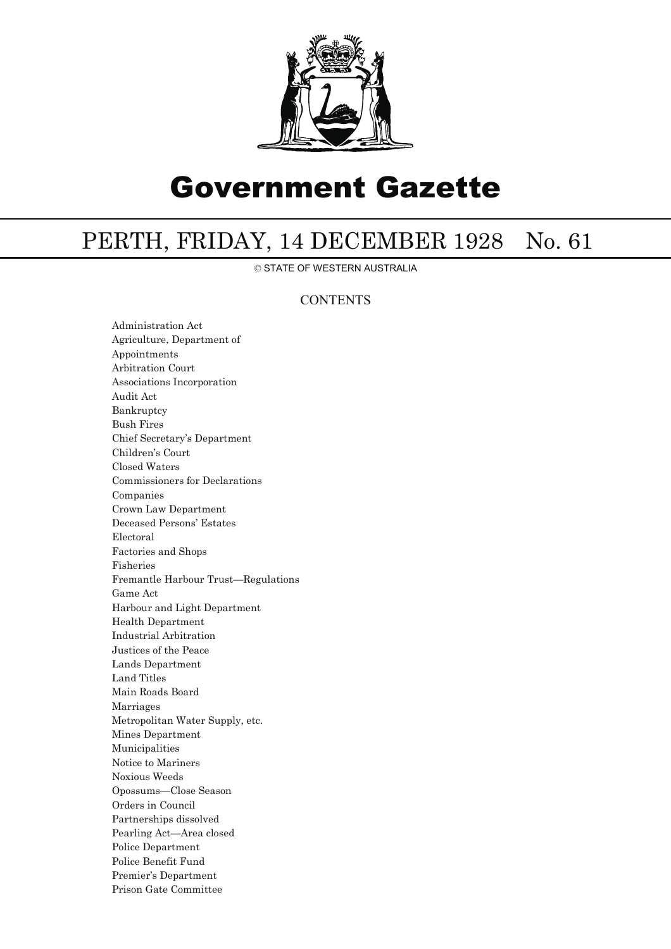

## Government Gazette

## PERTH, FRIDAY, 14 DECEMBER 1928 No. 61

© STATE OF WESTERN AUSTRALIA

## **CONTENTS**

Administration Act Agriculture, Department of Appointments Arbitration Court Associations Incorporation Audit Act Bankruptcy Bush Fires Chief Secretary's Department Children's Court Closed Waters Commissioners for Declarations Companies Crown Law Department Deceased Persons' Estates Electoral Factories and Shops Fisheries Fremantle Harbour Trust—Regulations Game Act Harbour and Light Department Health Department Industrial Arbitration Justices of the Peace Lands Department Land Titles Main Roads Board Marriages Metropolitan Water Supply, etc. Mines Department Municipalities Notice to Mariners Noxious Weeds Opossums—Close Season Orders in Council Partnerships dissolved Pearling Act—Area closed Police Department Police Benefit Fund Premier's Department Prison Gate Committee